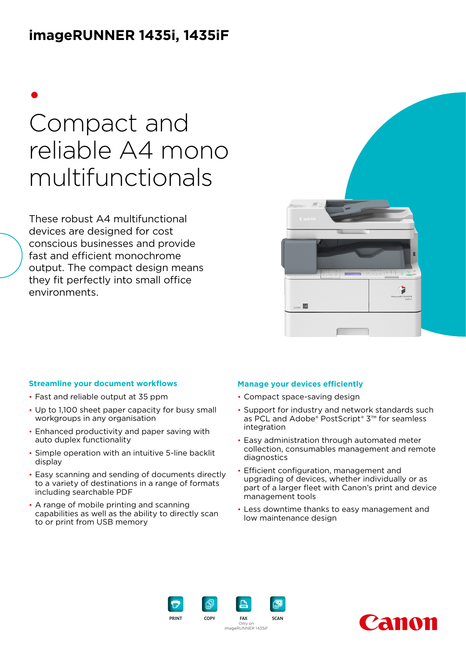## **imageRUNNER 1435i, 1435iF**

# • Compact and reliable A4 mono multifunctionals

These robust A4 multifunctional devices are designed for cost conscious businesses and provide fast and efficient monochrome output. The compact design means they fit perfectly into small office environments.



#### **Streamline your document workflows**

- Fast and reliable output at 35 ppm
- Up to 1,100 sheet paper capacity for busy small workgroups in any organisation
- Enhanced productivity and paper saving with auto duplex functionality
- Simple operation with an intuitive 5-line backlit display
- Easy scanning and sending of documents directly to a variety of destinations in a range of formats including searchable PDF
- A range of mobile printing and scanning capabilities as well as the ability to directly scan to or print from USB memory

#### **Manage your devices efficiently**

- Compact space-saving design
- Support for industry and network standards such as PCL and Adobe® PostScript® 3™ for seamless integration
- Easy administration through automated meter collection, consumables management and remote diagnostics
- Efficient configuration, management and upgrading of devices, whether individually or as part of a larger fleet with Canon's print and device management tools
- Less downtime thanks to easy management and low maintenance design



PRINT COPY FAX SCAN Only on imageRUNNER 1435iF

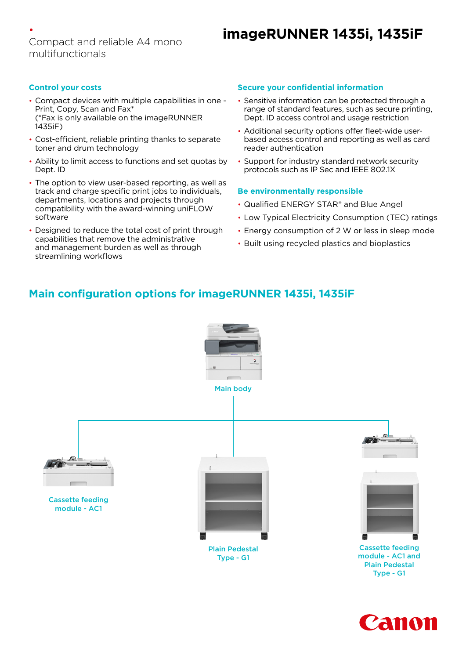#### • Compact and reliable A4 mono multifunctionals

## **imageRUNNER 1435i, 1435iF**

#### **Control your costs**

- Compact devices with multiple capabilities in one Print, Copy, Scan and Fax\* (\*Fax is only available on the imageRUNNER 1435iF)
- Cost-efficient, reliable printing thanks to separate toner and drum technology
- Ability to limit access to functions and set quotas by Dept. ID
- The option to view user-based reporting, as well as track and charge specific print jobs to individuals, departments, locations and projects through compatibility with the award-winning uniFLOW software
- Designed to reduce the total cost of print through capabilities that remove the administrative and management burden as well as through streamlining workflows

#### **Secure your confidential information**

- Sensitive information can be protected through a range of standard features, such as secure printing, Dept. ID access control and usage restriction
- Additional security options offer fleet-wide userbased access control and reporting as well as card reader authentication
- Support for industry standard network security protocols such as IP Sec and IEEE 802.1X

#### **Be environmentally responsible**

- Qualified ENERGY STAR® and Blue Angel
- Low Typical Electricity Consumption (TEC) ratings
- Energy consumption of 2 W or less in sleep mode
- Built using recycled plastics and bioplastics

### **Main configuration options for imageRUNNER 1435i, 1435iF**



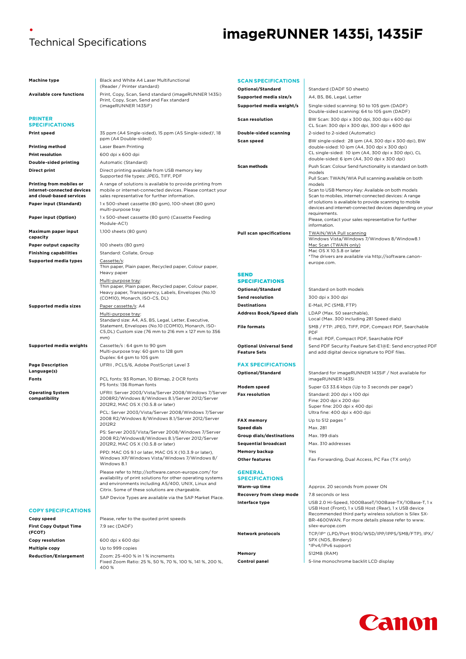#### • Technical Specifications

## **imageRUNNER 1435i, 1435iF**

| Machine type                                                                       | Black and White A4 Laser Multifunctional                                                                                                                                 | <b>SCAN SPECIFICATIONS</b>                            |                                                                                                                                      |
|------------------------------------------------------------------------------------|--------------------------------------------------------------------------------------------------------------------------------------------------------------------------|-------------------------------------------------------|--------------------------------------------------------------------------------------------------------------------------------------|
|                                                                                    | (Reader / Printer standard)                                                                                                                                              | Optional/Standard                                     | Standard (DADF 50 sheets)                                                                                                            |
| <b>Available core functions</b>                                                    | Print, Copy, Scan, Send standard (imageRUNNER 1435i)<br>Print, Copy, Scan, Send and Fax standard                                                                         | Supported media size/s                                | A4, B5, B6, Legal, Letter                                                                                                            |
|                                                                                    | (imageRUNNER 1435iF)                                                                                                                                                     | Supported media weight/s                              | Single-sided scanning: 50 to 105 gsm (DADF)<br>Double-sided scanning: 64 to 105 gsm (DADF)                                           |
| <b>PRINTER</b><br><b>SPECIFICATIONS</b>                                            |                                                                                                                                                                          | <b>Scan resolution</b>                                | BW Scan: 300 dpi x 300 dpi, 300 dpi x 600 dpi<br>CL Scan: 300 dpi x 300 dpi, 300 dpi x 600 dpi                                       |
| Print speed                                                                        | 35 ppm (A4 Single-sided), 15 ppm (A5 Single-sided) <sup>1</sup> , 18                                                                                                     | Double-sided scanning                                 | 2-sided to 2-sided (Automatic)                                                                                                       |
|                                                                                    | ppm (A4 Double-sided)                                                                                                                                                    | <b>Scan speed</b>                                     | BW single-sided: 28 ipm (A4, 300 dpi x 300 dpi), BW                                                                                  |
| <b>Printing method</b>                                                             | Laser Beam Printing                                                                                                                                                      |                                                       | double-sided: 10 ipm (A4, 300 dpi x 300 dpi)<br>CL single-sided: 10 ipm (A4, 300 dpi x 300 dpi), CL                                  |
| Print resolution                                                                   | 600 dpi x 600 dpi                                                                                                                                                        |                                                       | double-sided: 6 ipm (A4, 300 dpi x 300 dpi)                                                                                          |
| Double-sided printing                                                              | Automatic (Standard)                                                                                                                                                     | <b>Scan methods</b>                                   | Push Scan: Colour Send functionality is standard on both                                                                             |
| Direct print                                                                       | Direct printing available from USB memory key<br>Supported file types: JPEG, TIFF, PDF                                                                                   |                                                       | models<br>Pull Scan: TWAIN/WIA Pull scanning available on both                                                                       |
| Printing from mobiles or<br>internet-connected devices<br>and cloud-based services | A range of solutions is available to provide printing from<br>mobile or internet-connected devices. Please contact your<br>sales representative for further information. |                                                       | models<br>Scan to USB Memory Key: Available on both models<br>Scan to mobiles, internet-connected devices: A range                   |
| Paper input (Standard)                                                             | 1x 500-sheet cassette (80 gsm), 100-sheet (80 gsm)<br>multi-purpose tray                                                                                                 |                                                       | of solutions is available to provide scanning to mobile<br>devices and internet-connected devices depending on your<br>requirements. |
| Paper input (Option)                                                               | 1x 500-sheet cassette (80 gsm) (Cassette Feeding<br>Module-AC1)                                                                                                          |                                                       | Please, contact your sales representative for further<br>information.                                                                |
| Maximum paper input<br>capacity                                                    | 1,100 sheets (80 gsm)                                                                                                                                                    | <b>Pull scan specifications</b>                       | TWAIN/WIA Pull scanning<br>Windows Vista/Windows 7/Windows 8/Window8.1                                                               |
| <b>Paper output capacity</b>                                                       | 100 sheets (80 gsm)                                                                                                                                                      |                                                       | Mac Scan (TWAIN only)                                                                                                                |
| <b>Finishing capabilities</b>                                                      | Standard: Collate, Group                                                                                                                                                 |                                                       | Mac OS X 10.5.8 or later<br>*The drivers are available via http://software.canon-                                                    |
| <b>Supported media types</b>                                                       | Cassette/s:<br>Thin paper, Plain paper, Recycled paper, Colour paper,<br>Heavy paper                                                                                     |                                                       | europe.com.                                                                                                                          |
|                                                                                    |                                                                                                                                                                          | <b>SEND</b>                                           |                                                                                                                                      |
|                                                                                    | Multi-purpose tray:<br>Thin paper, Plain paper, Recycled paper, Colour paper,                                                                                            | <b>SPECIFICATIONS</b>                                 |                                                                                                                                      |
|                                                                                    | Heavy paper, Transparency, Labels, Envelopes (No.10)                                                                                                                     | Optional/Standard<br><b>Send resolution</b>           | Standard on both models                                                                                                              |
|                                                                                    | (COM10), Monarch, ISO-C5, DL)                                                                                                                                            | <b>Destinations</b>                                   | 300 dpi x 300 dpi<br>E-Mail, PC (SMB, FTP)                                                                                           |
| <b>Supported media sizes</b>                                                       | Paper cassette/s: A4                                                                                                                                                     | <b>Address Book/Speed dials</b>                       | LDAP (Max. 50 searchable),                                                                                                           |
|                                                                                    | Multi-purpose tray:<br>Standard size: A4, A5, B5, Legal, Letter, Executive,                                                                                              |                                                       | Local (Max. 300 including 281 Speed dials)                                                                                           |
|                                                                                    | Statement, Envelopes (No.10 (COM10), Monarch, ISO-<br>C5, DL) Custom size (76 mm to 216 mm x 127 mm to 356                                                               | <b>File formats</b>                                   | SMB / FTP: JPEG, TIFF, PDF, Compact PDF, Searchable<br>PDF                                                                           |
|                                                                                    | mm)                                                                                                                                                                      |                                                       | E-mail: PDF, Compact PDF, Searchable PDF                                                                                             |
| <b>Supported media weights</b>                                                     | Cassette/s: 64 gsm to 90 gsm<br>Multi-purpose tray: 60 gsm to 128 gsm<br>Duplex: 64 gsm to 105 gsm                                                                       | <b>Optional Universal Send</b><br><b>Feature Sets</b> | Send PDF Security Feature Set-E1@E: Send encrypted PDF<br>and add digital device signature to PDF files.                             |
| <b>Page Description</b>                                                            | UFRII, PCL5/6, Adobe PostScript Level 3                                                                                                                                  | <b>FAX SPECIFICATIONS</b>                             |                                                                                                                                      |
| Language(s)                                                                        |                                                                                                                                                                          | Optional/Standard                                     | Standard for imageRUNNER 1435iF / Not available for                                                                                  |
| Fonts                                                                              | PCL fonts: 93 Roman, 10 Bitmap, 2 OCR fonts<br>PS fonts: 136 Roman fonts                                                                                                 | Modem speed                                           | imageRUNNER 1435i<br>Super G3 33.6 kbps (Up to 3 seconds per page <sup>1</sup> )                                                     |
| <b>Operating System</b><br>compatibility                                           | UFRII: Server 2003/Vista/Server 2008/Windows 7/Server<br>2008R2/Windows 8/Windows 8.1/Server 2012/Server<br>2012R2, MAC OS X (10.5.8 or later)                           | <b>Fax resolution</b>                                 | Standard: 200 dpi x 100 dpi<br>Fine: 200 dpi x 200 dpi<br>Super fine: 200 dpi x 400 dpi                                              |
|                                                                                    | PCL: Server 2003/Vista/Server 2008/Windows 7/Server                                                                                                                      |                                                       | Ultra fine: 400 dpi x 400 dpi                                                                                                        |
|                                                                                    | 2008 R2/Windows 8/Windows 8.1/Server 2012/Server                                                                                                                         | <b>FAX memory</b>                                     | Up to 512 pages <sup>2</sup>                                                                                                         |
|                                                                                    | 2012R2<br>PS: Server 2003/Vista/Server 2008/Windows 7/Server                                                                                                             | <b>Speed dials</b>                                    | Max. 281                                                                                                                             |
|                                                                                    | 2008 R2/Windows8/Windows 8.1/Server 2012/Server                                                                                                                          | <b>Group dials/destinations</b>                       | Max. 199 dials                                                                                                                       |
|                                                                                    | 2012R2, MAC OS X (10.5.8 or later)                                                                                                                                       | <b>Sequential broadcast</b>                           | Max. 310 addresses                                                                                                                   |
|                                                                                    | PPD: MAC OS 9.1 or later, MAC OS X (10.3.9 or later),<br>Windows XP/Windows Vista/Windows 7/Windows 8/<br>Windows 8.1                                                    | <b>Memory backup</b><br><b>Other features</b>         | Yes<br>Fax Forwarding, Dual Access, PC Fax (TX only)                                                                                 |
|                                                                                    | Please refer to http://software.canon-europe.com/ for<br>availability of print solutions for other operating systems                                                     | <b>GENERAL</b><br><b>SPECIFICATIONS</b>               |                                                                                                                                      |
|                                                                                    | and environments including AS/400, UNIX, Linux and<br>Citrix. Some of these solutions are chargeable.                                                                    | Warm-up time                                          | Approx. 20 seconds from power ON                                                                                                     |
|                                                                                    | SAP Device Types are available via the SAP Market Place.                                                                                                                 | Recovery from sleep mode                              | 7.8 seconds or less                                                                                                                  |
| <b>COPY SPECIFICATIONS</b>                                                         |                                                                                                                                                                          | Interface type                                        | USB 2.0 Hi-Speed, 1000BaseT/100Base-TX/10Base-T, 1 x<br>USB Host (Front), 1 x USB Host (Rear), 1 x USB device                        |
| Copy speed                                                                         | Please, refer to the quoted print speeds                                                                                                                                 |                                                       | Recommended third party wireless solution is Silex SX-<br>BR-4600WAN. For more details please refer to www.                          |
| <b>First Copy Output Time</b><br>(FCOT)                                            | 7.9 sec (DADF)                                                                                                                                                           | <b>Network protocols</b>                              | silex-europe.com<br>TCP/IP* (LPD/Port 9100/WSD/IPP/IPPS/SMB/FTP), IPX/                                                               |
| Copy resolution                                                                    | 600 dpi x 600 dpi                                                                                                                                                        |                                                       | SPX (NDS, Bindery)                                                                                                                   |
| Multiple copy                                                                      | Up to 999 copies                                                                                                                                                         |                                                       | *IPv4/IPv6 support                                                                                                                   |
| <b>Reduction/Enlargement</b>                                                       | Zoom: 25-400 % in 1% increments                                                                                                                                          | Memory                                                | 512MB (RAM)                                                                                                                          |
|                                                                                    | Fixed Zoom Ratio: 25 %, 50 %, 70 %, 100 %, 141 %, 200 %,<br>400 %                                                                                                        | Control panel                                         | 5-line monochrome backlit LCD display                                                                                                |